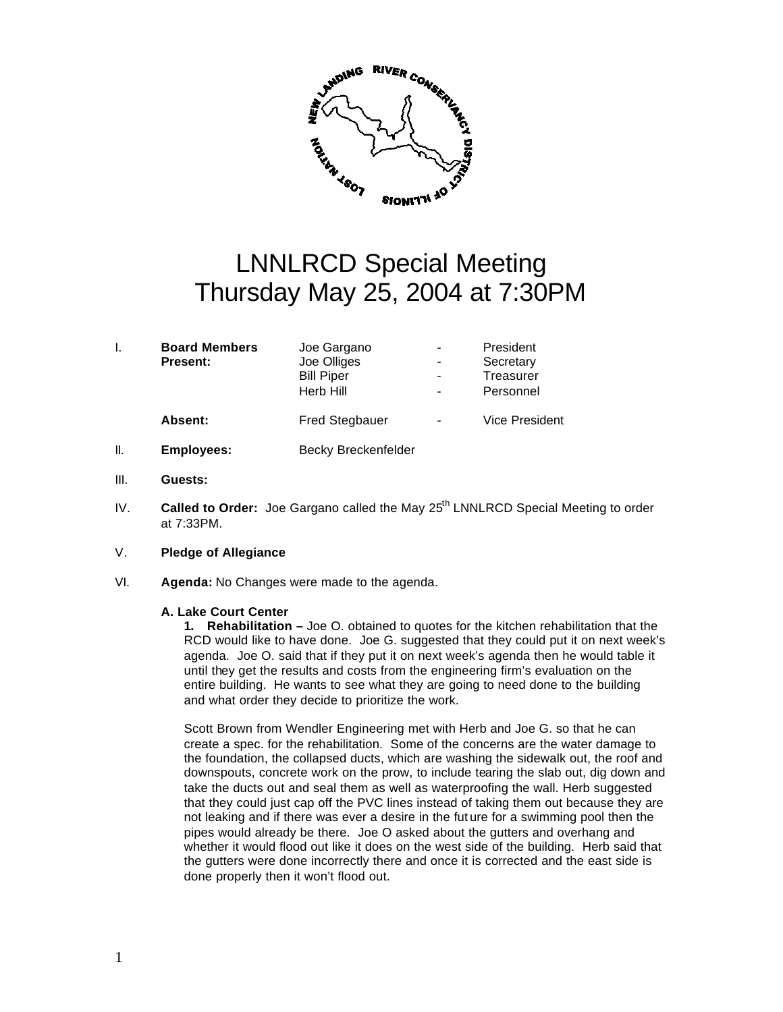

## LNNLRCD Special Meeting Thursday May 25, 2004 at 7:30PM

|    | <b>Board Members</b> | Joe Gargano                |   | President             |
|----|----------------------|----------------------------|---|-----------------------|
|    | <b>Present:</b>      | Joe Olliges                |   | Secretary             |
|    |                      | <b>Bill Piper</b>          |   | Treasurer             |
|    |                      | Herb Hill                  | - | Personnel             |
|    | Absent:              | <b>Fred Stegbauer</b>      |   | <b>Vice President</b> |
| Ш. | Employees:           | <b>Becky Breckenfelder</b> |   |                       |

- III. **Guests:**
- IV. **Called to Order:** Joe Gargano called the May 25<sup>th</sup> LNNLRCD Special Meeting to order at 7:33PM.
- V. **Pledge of Allegiance**
- VI. **Agenda:** No Changes were made to the agenda.

## **A. Lake Court Center**

**1. Rehabilitation –** Joe O. obtained to quotes for the kitchen rehabilitation that the RCD would like to have done. Joe G. suggested that they could put it on next week's agenda. Joe O. said that if they put it on next week's agenda then he would table it until they get the results and costs from the engineering firm's evaluation on the entire building. He wants to see what they are going to need done to the building and what order they decide to prioritize the work.

Scott Brown from Wendler Engineering met with Herb and Joe G. so that he can create a spec. for the rehabilitation. Some of the concerns are the water damage to the foundation, the collapsed ducts, which are washing the sidewalk out, the roof and downspouts, concrete work on the prow, to include tearing the slab out, dig down and take the ducts out and seal them as well as waterproofing the wall. Herb suggested that they could just cap off the PVC lines instead of taking them out because they are not leaking and if there was ever a desire in the fut ure for a swimming pool then the pipes would already be there. Joe O asked about the gutters and overhang and whether it would flood out like it does on the west side of the building. Herb said that the gutters were done incorrectly there and once it is corrected and the east side is done properly then it won't flood out.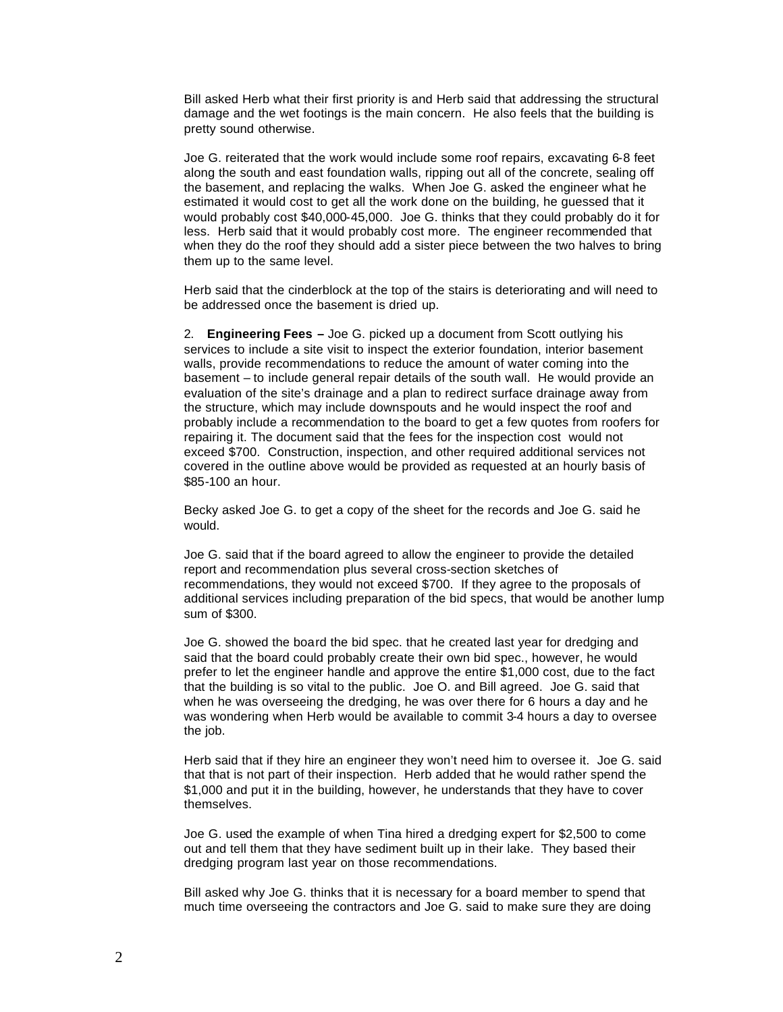Bill asked Herb what their first priority is and Herb said that addressing the structural damage and the wet footings is the main concern. He also feels that the building is pretty sound otherwise.

Joe G. reiterated that the work would include some roof repairs, excavating 6-8 feet along the south and east foundation walls, ripping out all of the concrete, sealing off the basement, and replacing the walks. When Joe G. asked the engineer what he estimated it would cost to get all the work done on the building, he guessed that it would probably cost \$40,000-45,000. Joe G. thinks that they could probably do it for less. Herb said that it would probably cost more. The engineer recommended that when they do the roof they should add a sister piece between the two halves to bring them up to the same level.

Herb said that the cinderblock at the top of the stairs is deteriorating and will need to be addressed once the basement is dried up.

2. **Engineering Fees –** Joe G. picked up a document from Scott outlying his services to include a site visit to inspect the exterior foundation, interior basement walls, provide recommendations to reduce the amount of water coming into the basement – to include general repair details of the south wall. He would provide an evaluation of the site's drainage and a plan to redirect surface drainage away from the structure, which may include downspouts and he would inspect the roof and probably include a recommendation to the board to get a few quotes from roofers for repairing it. The document said that the fees for the inspection cost would not exceed \$700. Construction, inspection, and other required additional services not covered in the outline above would be provided as requested at an hourly basis of \$85-100 an hour.

Becky asked Joe G. to get a copy of the sheet for the records and Joe G. said he would.

Joe G. said that if the board agreed to allow the engineer to provide the detailed report and recommendation plus several cross-section sketches of recommendations, they would not exceed \$700. If they agree to the proposals of additional services including preparation of the bid specs, that would be another lump sum of \$300.

Joe G. showed the board the bid spec. that he created last year for dredging and said that the board could probably create their own bid spec., however, he would prefer to let the engineer handle and approve the entire \$1,000 cost, due to the fact that the building is so vital to the public. Joe O. and Bill agreed. Joe G. said that when he was overseeing the dredging, he was over there for 6 hours a day and he was wondering when Herb would be available to commit 3-4 hours a day to oversee the job.

Herb said that if they hire an engineer they won't need him to oversee it. Joe G. said that that is not part of their inspection. Herb added that he would rather spend the \$1,000 and put it in the building, however, he understands that they have to cover themselves.

Joe G. used the example of when Tina hired a dredging expert for \$2,500 to come out and tell them that they have sediment built up in their lake. They based their dredging program last year on those recommendations.

Bill asked why Joe G. thinks that it is necessary for a board member to spend that much time overseeing the contractors and Joe G. said to make sure they are doing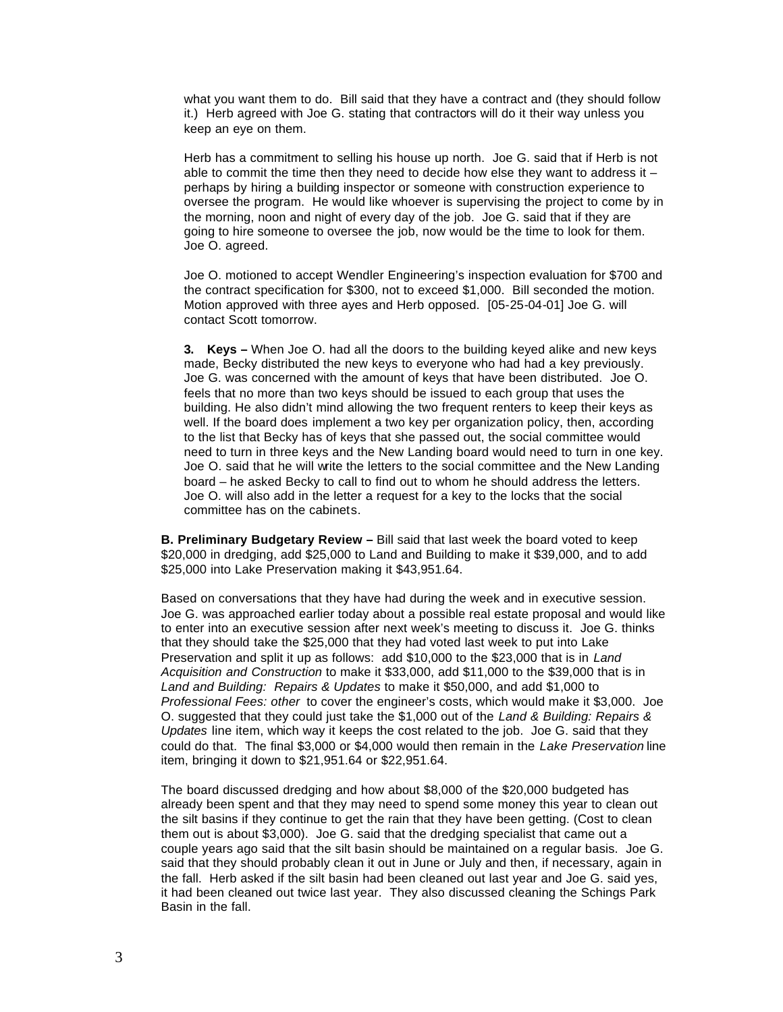what you want them to do. Bill said that they have a contract and (they should follow it.) Herb agreed with Joe G. stating that contractors will do it their way unless you keep an eye on them.

Herb has a commitment to selling his house up north. Joe G. said that if Herb is not able to commit the time then they need to decide how else they want to address it  $$ perhaps by hiring a building inspector or someone with construction experience to oversee the program. He would like whoever is supervising the project to come by in the morning, noon and night of every day of the job. Joe G. said that if they are going to hire someone to oversee the job, now would be the time to look for them. Joe O. agreed.

Joe O. motioned to accept Wendler Engineering's inspection evaluation for \$700 and the contract specification for \$300, not to exceed \$1,000. Bill seconded the motion. Motion approved with three ayes and Herb opposed. [05-25-04-01] Joe G. will contact Scott tomorrow.

**3. Keys –** When Joe O. had all the doors to the building keyed alike and new keys made, Becky distributed the new keys to everyone who had had a key previously. Joe G. was concerned with the amount of keys that have been distributed. Joe O. feels that no more than two keys should be issued to each group that uses the building. He also didn't mind allowing the two frequent renters to keep their keys as well. If the board does implement a two key per organization policy, then, according to the list that Becky has of keys that she passed out, the social committee would need to turn in three keys and the New Landing board would need to turn in one key. Joe O. said that he will write the letters to the social committee and the New Landing board – he asked Becky to call to find out to whom he should address the letters. Joe O. will also add in the letter a request for a key to the locks that the social committee has on the cabinets.

**B. Preliminary Budgetary Review –** Bill said that last week the board voted to keep \$20,000 in dredging, add \$25,000 to Land and Building to make it \$39,000, and to add \$25,000 into Lake Preservation making it \$43,951.64.

Based on conversations that they have had during the week and in executive session. Joe G. was approached earlier today about a possible real estate proposal and would like to enter into an executive session after next week's meeting to discuss it. Joe G. thinks that they should take the \$25,000 that they had voted last week to put into Lake Preservation and split it up as follows: add \$10,000 to the \$23,000 that is in *Land Acquisition and Construction* to make it \$33,000, add \$11,000 to the \$39,000 that is in *Land and Building: Repairs & Updates* to make it \$50,000, and add \$1,000 to *Professional Fees: other* to cover the engineer's costs, which would make it \$3,000. Joe O. suggested that they could just take the \$1,000 out of the *Land & Building: Repairs & Updates* line item, which way it keeps the cost related to the job. Joe G. said that they could do that. The final \$3,000 or \$4,000 would then remain in the *Lake Preservation* line item, bringing it down to \$21,951.64 or \$22,951.64.

The board discussed dredging and how about \$8,000 of the \$20,000 budgeted has already been spent and that they may need to spend some money this year to clean out the silt basins if they continue to get the rain that they have been getting. (Cost to clean them out is about \$3,000). Joe G. said that the dredging specialist that came out a couple years ago said that the silt basin should be maintained on a regular basis. Joe G. said that they should probably clean it out in June or July and then, if necessary, again in the fall. Herb asked if the silt basin had been cleaned out last year and Joe G. said yes, it had been cleaned out twice last year. They also discussed cleaning the Schings Park Basin in the fall.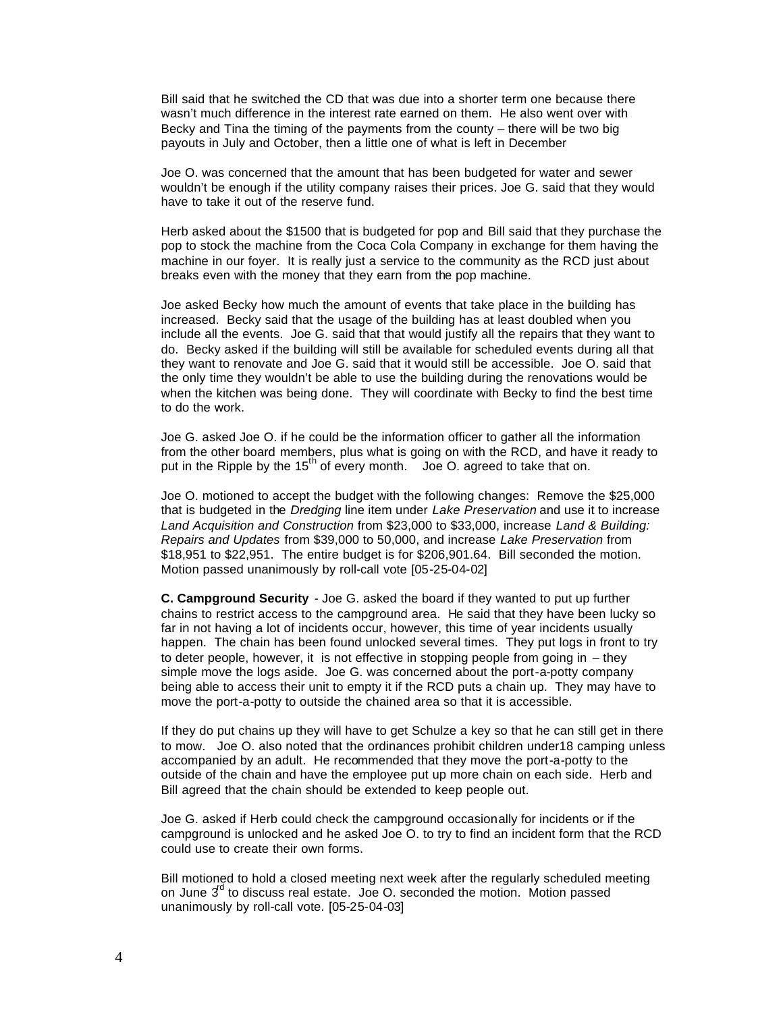Bill said that he switched the CD that was due into a shorter term one because there wasn't much difference in the interest rate earned on them. He also went over with Becky and Tina the timing of the payments from the county – there will be two big payouts in July and October, then a little one of what is left in December

Joe O. was concerned that the amount that has been budgeted for water and sewer wouldn't be enough if the utility company raises their prices. Joe G. said that they would have to take it out of the reserve fund.

Herb asked about the \$1500 that is budgeted for pop and Bill said that they purchase the pop to stock the machine from the Coca Cola Company in exchange for them having the machine in our foyer. It is really just a service to the community as the RCD just about breaks even with the money that they earn from the pop machine.

Joe asked Becky how much the amount of events that take place in the building has increased. Becky said that the usage of the building has at least doubled when you include all the events. Joe G. said that that would justify all the repairs that they want to do. Becky asked if the building will still be available for scheduled events during all that they want to renovate and Joe G. said that it would still be accessible. Joe O. said that the only time they wouldn't be able to use the building during the renovations would be when the kitchen was being done. They will coordinate with Becky to find the best time to do the work.

Joe G. asked Joe O. if he could be the information officer to gather all the information from the other board members, plus what is going on with the RCD, and have it ready to put in the Ripple by the 15<sup>th</sup> of every month. Joe O. agreed to take that on.

Joe O. motioned to accept the budget with the following changes: Remove the \$25,000 that is budgeted in the *Dredging* line item under *Lake Preservation* and use it to increase *Land Acquisition and Construction* from \$23,000 to \$33,000, increase *Land & Building: Repairs and Updates* from \$39,000 to 50,000, and increase *Lake Preservation* from \$18,951 to \$22,951. The entire budget is for \$206,901.64. Bill seconded the motion. Motion passed unanimously by roll-call vote [05-25-04-02]

**C. Campground Security** - Joe G. asked the board if they wanted to put up further chains to restrict access to the campground area. He said that they have been lucky so far in not having a lot of incidents occur, however, this time of year incidents usually happen. The chain has been found unlocked several times. They put logs in front to try to deter people, however, it is not effective in stopping people from going in – they simple move the logs aside. Joe G. was concerned about the port-a-potty company being able to access their unit to empty it if the RCD puts a chain up. They may have to move the port-a-potty to outside the chained area so that it is accessible.

If they do put chains up they will have to get Schulze a key so that he can still get in there to mow. Joe O. also noted that the ordinances prohibit children under18 camping unless accompanied by an adult. He recommended that they move the port-a-potty to the outside of the chain and have the employee put up more chain on each side. Herb and Bill agreed that the chain should be extended to keep people out.

Joe G. asked if Herb could check the campground occasionally for incidents or if the campground is unlocked and he asked Joe O. to try to find an incident form that the RCD could use to create their own forms.

Bill motioned to hold a closed meeting next week after the regularly scheduled meeting on June  $3<sup>d</sup>$  to discuss real estate. Joe O. seconded the motion. Motion passed unanimously by roll-call vote. [05-25-04-03]